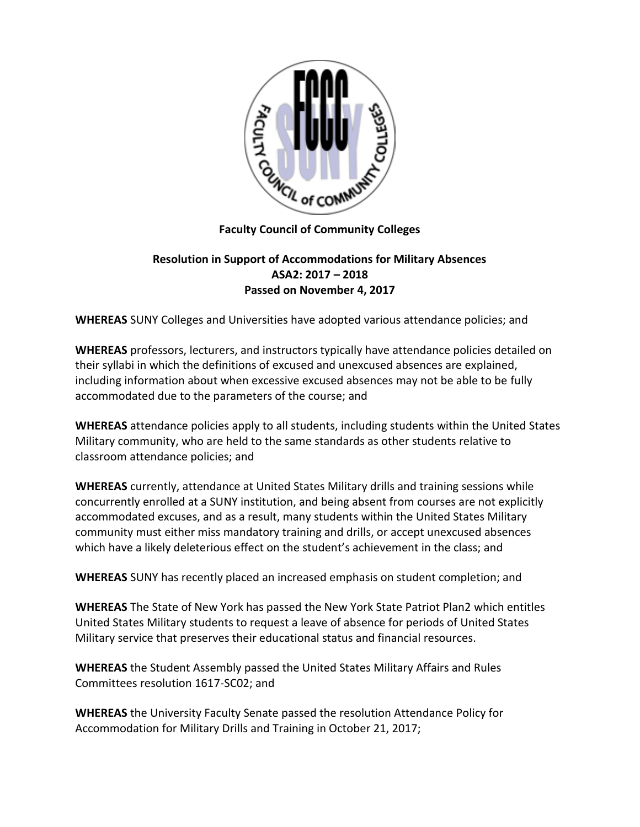

## **Faculty Council of Community Colleges**

## **Resolution in Support of Accommodations for Military Absences ASA2: 2017 – 2018 Passed on November 4, 2017**

**WHEREAS** SUNY Colleges and Universities have adopted various attendance policies; and

**WHEREAS** professors, lecturers, and instructors typically have attendance policies detailed on their syllabi in which the definitions of excused and unexcused absences are explained, including information about when excessive excused absences may not be able to be fully accommodated due to the parameters of the course; and

**WHEREAS** attendance policies apply to all students, including students within the United States Military community, who are held to the same standards as other students relative to classroom attendance policies; and

**WHEREAS** currently, attendance at United States Military drills and training sessions while concurrently enrolled at a SUNY institution, and being absent from courses are not explicitly accommodated excuses, and as a result, many students within the United States Military community must either miss mandatory training and drills, or accept unexcused absences which have a likely deleterious effect on the student's achievement in the class; and

**WHEREAS** SUNY has recently placed an increased emphasis on student completion; and

**WHEREAS** The State of New York has passed the New York State Patriot Plan2 which entitles United States Military students to request a leave of absence for periods of United States Military service that preserves their educational status and financial resources.

**WHEREAS** the Student Assembly passed the United States Military Affairs and Rules Committees resolution 1617-SC02; and

**WHEREAS** the University Faculty Senate passed the resolution Attendance Policy for Accommodation for Military Drills and Training in October 21, 2017;